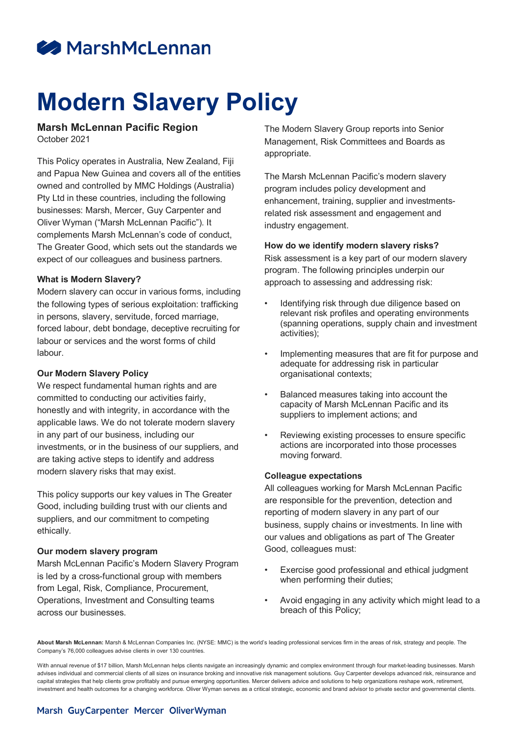## **A** MarshMcLennan

# **Modern Slavery Policy**

### **Marsh McLennan Pacific Region**

October 2021

This Policy operates in Australia, New Zealand, Fiji and Papua New Guinea and covers all of the entities owned and controlled by MMC Holdings (Australia) Pty Ltd in these countries, including the following businesses: Marsh, Mercer, Guy Carpenter and Oliver Wyman ("Marsh McLennan Pacific"). It complements Marsh McLennan's code of conduct, The Greater Good, which sets out the standards we expect of our colleagues and business partners.

#### **What is Modern Slavery?**

Modern slavery can occur in various forms, including the following types of serious exploitation: trafficking in persons, slavery, servitude, forced marriage, forced labour, debt bondage, deceptive recruiting for labour or services and the worst forms of child labour.

#### **Our Modern Slavery Policy**

We respect fundamental human rights and are committed to conducting our activities fairly, honestly and with integrity, in accordance with the applicable laws. We do not tolerate modern slavery in any part of our business, including our investments, or in the business of our suppliers, and are taking active steps to identify and address modern slavery risks that may exist.

This policy supports our key values in The Greater Good, including building trust with our clients and suppliers, and our commitment to competing ethically.

#### **Our modern slavery program**

Marsh McLennan Pacific's Modern Slavery Program is led by a cross-functional group with members from Legal, Risk, Compliance, Procurement, Operations, Investment and Consulting teams across our businesses.

The Modern Slavery Group reports into Senior Management, Risk Committees and Boards as appropriate.

The Marsh McLennan Pacific's modern slavery program includes policy development and enhancement, training, supplier and investmentsrelated risk assessment and engagement and industry engagement.

#### **How do we identify modern slavery risks?**

Risk assessment is a key part of our modern slavery program. The following principles underpin our approach to assessing and addressing risk:

- Identifying risk through due diligence based on relevant risk profiles and operating environments (spanning operations, supply chain and investment activities);
- Implementing measures that are fit for purpose and adequate for addressing risk in particular organisational contexts;
- Balanced measures taking into account the capacity of Marsh McLennan Pacific and its suppliers to implement actions; and
- Reviewing existing processes to ensure specific actions are incorporated into those processes moving forward.

#### **Colleague expectations**

All colleagues working for Marsh McLennan Pacific are responsible for the prevention, detection and reporting of modern slavery in any part of our business, supply chains or investments. In line with our values and obligations as part of The Greater Good, colleagues must:

- Exercise good professional and ethical judgment when performing their duties;
- Avoid engaging in any activity which might lead to a breach of this Policy;

**About Marsh McLennan:** Marsh & McLennan Companies Inc. (NYSE: MMC) is the world's leading professional services firm in the areas of risk, strategy and people. The Company's 76,000 colleagues advise clients in over 130 countries.

With annual revenue of \$17 billion, Marsh McLennan helps clients navigate an increasingly dynamic and complex environment through four market-leading businesses. Marsh advises individual and commercial clients of all sizes on insurance broking and innovative risk management solutions. Guy Carpenter develops advanced risk, reinsurance and capital strategies that help clients grow profitably and pursue emerging opportunities. Mercer delivers advice and solutions to help organizations reshape work, retirement, investment and health outcomes for a changing workforce. Oliver Wyman serves as a critical strategic, economic and brand advisor to private sector and governmental clients.